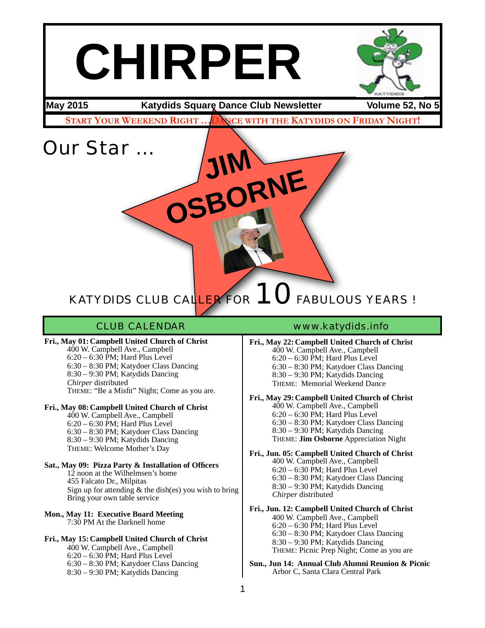# **CHIRPER**

**May 2015 Katydids Square Dance Club Newsletter Volume 52, No 5**

**START YOUR WEEKEND RIGHT …DANCE WITH THE KATYDIDS ON FRIDAY NIGHT!**

**JIM**

OSBORNE

Our Star …

# KATYDIDS CLUB CALLER FOR 10 FABULOUS YEARS !

**Fri., May 01: Campbell United Church of Christ** 400 W. Campbell Ave., Campbell  $6:20 - 6:30$  PM; Hard Plus Level 6:30 – 8:30 PM; Katydoer Class Dancing 8:30 – 9:30 PM; Katydids Dancing *Chirper* distributed THEME: "Be a Misfit" Night; Come as you are.

#### **Fri., May 08: Campbell United Church of Christ**

400 W. Campbell Ave., Campbell 6:20 – 6:30 PM; Hard Plus Level 6:30 – 8:30 PM; Katydoer Class Dancing 8:30 – 9:30 PM; Katydids Dancing THEME: Welcome Mother's Day

#### **Sat., May 09: Pizza Party & Installation of Officers** 12 noon at the Wilhelmsen's home 455 Falcato Dr., Milpitas Sign up for attending  $&$  the dish(es) you wish to bring Bring your own table service

**Mon., May 11: Executive Board Meeting** 7:30 PM At the Darknell home

#### **Fri., May 15: Campbell United Church of Christ**

400 W. Campbell Ave., Campbell  $6:20 - 6:30$  PM; Hard Plus Level 6:30 – 8:30 PM; Katydoer Class Dancing 8:30 – 9:30 PM; Katydids Dancing

#### CLUB CALENDAR www.katydids.info

**Fri., May 22: Campbell United Church of Christ** 400 W. Campbell Ave., Campbell  $6:20 - 6:30$  PM; Hard Plus Level 6:30 – 8:30 PM; Katydoer Class Dancing 8:30 – 9:30 PM; Katydids Dancing THEME: Memorial Weekend Dance

**Fri., May 29: Campbell United Church of Christ**

400 W. Campbell Ave., Campbell 6:20 – 6:30 PM; Hard Plus Level 6:30 – 8:30 PM; Katydoer Class Dancing 8:30 – 9:30 PM; Katydids Dancing THEME: **Jim Osborne** Appreciation Night

**Fri., Jun. 05: Campbell United Church of Christ** 400 W. Campbell Ave., Campbell 6:20 – 6:30 PM; Hard Plus Level 6:30 – 8:30 PM; Katydoer Class Dancing 8:30 – 9:30 PM; Katydids Dancing *Chirper* distributed

#### **Fri., Jun. 12: Campbell United Church of Christ**

400 W. Campbell Ave., Campbell 6:20 – 6:30 PM; Hard Plus Level 6:30 – 8:30 PM; Katydoer Class Dancing 8:30 – 9:30 PM; Katydids Dancing THEME: Picnic Prep Night; Come as you are

**Sun., Jun 14: Annual Club Alumni Reunion & Picnic** Arbor C, Santa Clara Central Park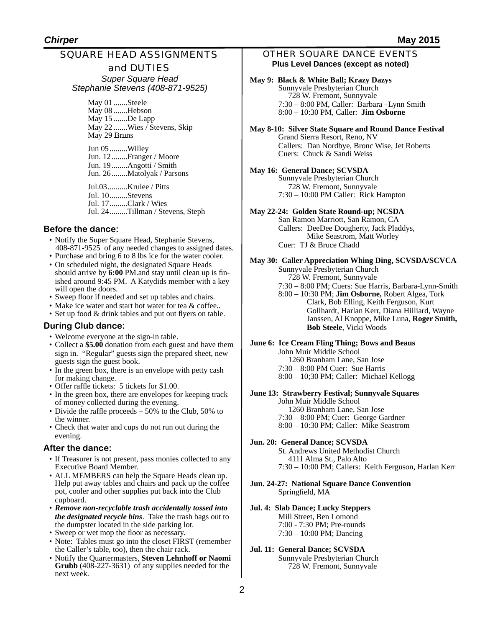## SQUARE HEAD ASSIGNMENTS

#### and DUTIES

*Super Square Head Stephanie Stevens (408-871-9525)*

> May 01 .......Steele May 08 .......Hebson May 15 .......De Lapp May 22 .......Wies / Stevens, Skip May 29 Bruns

Jun 05.........Willey Jun. 12........Franger / Moore Jun. 19........Angotti / Smith Jun. 26........Matolyak / Parsons

Jul.03..........Krulee / Pitts Jul. 10.........Stevens Jul. 17.........Clark / Wies Jul. 24.........Tillman / Stevens, Steph

#### **Before the dance:**

- Notify the Super Square Head, Stephanie Stevens, 408-871-9525 of any needed changes to assigned dates.
- Purchase and bring 6 to 8 lbs ice for the water cooler. • On scheduled night, the designated Square Heads should arrive by **6:00** PM.and stay until clean up is finished around 9:45 PM. A Katydids member with a key will open the doors.
- Sweep floor if needed and set up tables and chairs.
- Make ice water and start hot water for tea & coffee..
- Set up food & drink tables and put out flyers on table.

#### **During Club dance:**

- Welcome everyone at the sign-in table.
- Collect a **\$5.00** donation from each guest and have them sign in. "Regular" guests sign the prepared sheet, new guests sign the guest book.
- In the green box, there is an envelope with petty cash for making change.
- Offer raffle tickets: 5 tickets for \$1.00.
- In the green box, there are envelopes for keeping track of money collected during the evening.
- Divide the raffle proceeds 50% to the Club, 50% to the winner.
- Check that water and cups do not run out during the evening.

#### **After the dance:**

- If Treasurer is not present, pass monies collected to any Executive Board Member.
- ALL MEMBERS can help the Square Heads clean up. Help put away tables and chairs and pack up the coffee pot, cooler and other supplies put back into the Club cupboard.
- *Remove non-recyclable trash accidentally tossed into the designated recycle bins*. Take the trash bags out to the dumpster located in the side parking lot.
- Sweep or wet mop the floor as necessary.
- Note: Tables must go into the closet FIRST (remember the Caller's table, too), then the chair rack.
- Notify the Quartermasters, **Steven Lehnhoff or Naomi Grubb** (408-227-3631) of any supplies needed for the next week.

#### OTHER SQUARE DANCE EVENTS **Plus Level Dances (except as noted)**

#### **May 9: Black & White Ball; Krazy Dazys** Sunnyvale Presbyterian Church 728 W. Fremont, Sunnyvale 7:30 – 8:00 PM, Caller: Barbara –Lynn Smith 8:00 – 10:30 PM, Caller: **Jim Osborne**

**May 8-10: Silver State Square and Round Dance Festival** Grand Sierra Resort, Reno, NV Callers: Dan Nordbye, Bronc Wise, Jet Roberts Cuers: Chuck & Sandi Weiss

#### **May 16: General Dance; SCVSDA**

Sunnyvale Presbyterian Church 728 W. Fremont, Sunnyvale 7:30 – 10:00 PM Caller: Rick Hampton

#### **May 22-24: Golden State Round-up; NCSDA**

San Ramon Marriott, San Ramon, CA Callers: DeeDee Dougherty, Jack Pladdys, Mike Seastrom, Matt Worley Cuer: TJ & Bruce Chadd

#### **May 30: Caller Appreciation Whing Ding, SCVSDA/SCVCA**

Sunnyvale Presbyterian Church

 728 W. Fremont, Sunnyvale 7:30 – 8:00 PM; Cuers: Sue Harris, Barbara-Lynn-Smith 8:00 – 10:30 PM; **Jim Osborne,** Robert Algea, Tork Clark, Bob Elling, Keith Ferguson, Kurt Gollhardt, Harlan Kerr, Diana Hilliard, Wayne Janssen, Al Knoppe, Mike Luna, **Roger Smith,** 

#### **June 6: Ice Cream Fling Thing; Bows and Beaus**

John Muir Middle School 1260 Branham Lane, San Jose 7:30 – 8:00 PM Cuer: Sue Harris 8:00 – 10;30 PM; Caller: Michael Kellogg

 **Bob Steele**, Vicki Woods

#### **June 13: Strawberry Festival; Sunnyvale Squares**

John Muir Middle School 1260 Branham Lane, San Jose 7:30 – 8:00 PM; Cuer: George Gardner 8:00 – 10:30 PM; Caller: Mike Seastrom

#### **Jun. 20: General Dance; SCVSDA**

St. Andrews United Methodist Church 4111 Alma St., Palo Alto 7:30 – 10:00 PM; Callers: Keith Ferguson, Harlan Kerr

#### **Jun. 24-27: National Square Dance Convention** Springfield, MA

#### **Jul. 4: Slab Dance; Lucky Steppers** Mill Street, Ben Lomond 7:00 - 7:30 PM; Pre-rounds 7:30 – 10:00 PM; Dancing

#### **Jul. 11: General Dance; SCVSDA** Sunnyvale Presbyterian Church 728 W. Fremont, Sunnyvale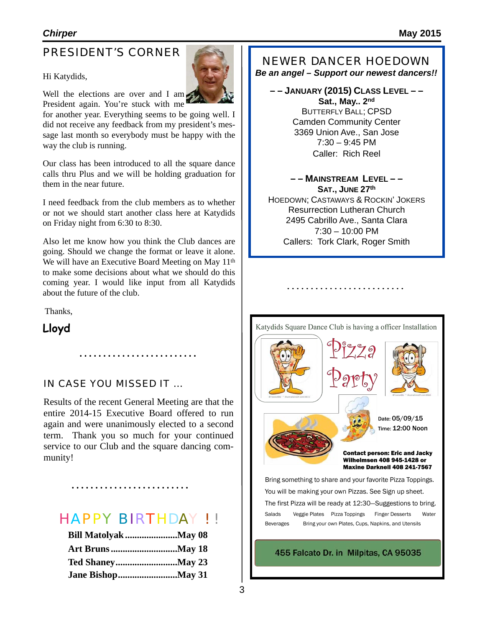## PRESIDENT'S CORNER

#### Hi Katydids,

Well the elections are over and I am. President again. You're stuck with me

for another year. Everything seems to be going well. I did not receive any feedback from my president's message last month so everybody must be happy with the way the club is running.

Our class has been introduced to all the square dance calls thru Plus and we will be holding graduation for them in the near future.

I need feedback from the club members as to whether or not we should start another class here at Katydids on Friday night from 6:30 to 8:30.

Also let me know how you think the Club dances are going. Should we change the format or leave it alone. We will have an Executive Board Meeting on May 11<sup>th</sup> to make some decisions about what we should do this coming year. I would like input from all Katydids about the future of the club.

Thanks,

**Lloyd**

#### IN CASE YOU MISSED IT …

Results of the recent General Meeting are that the entire 2014-15 Executive Board offered to run again and were unanimously elected to a second term. Thank you so much for your continued service to our Club and the square dancing community!

## HAPPY BIRTHDAY ! !

### NEWER DANCER HOEDOWN

*Be an angel – Support our newest dancers!!*

**– – JANUARY (2015) CLASS LEVEL – – Sat., May.. 2nd** BUTTERFLY BALL; CPSD Camden Community Center 3369 Union Ave., San Jose  $7:30 - 9:45$  PM Caller: Rich Reel

**– – MAINSTREAM LEVEL – – SAT., JUNE 27th**  HOEDOWN; CASTAWAYS & ROCKIN' JOKERS Resurrection Lutheran Church 2495 Cabrillo Ave., Santa Clara 7:30 – 10:00 PM Callers: Tork Clark, Roger Smith



Katydids Square Dance Club is having a officer Installation

. . . . . . . . . . . . . . .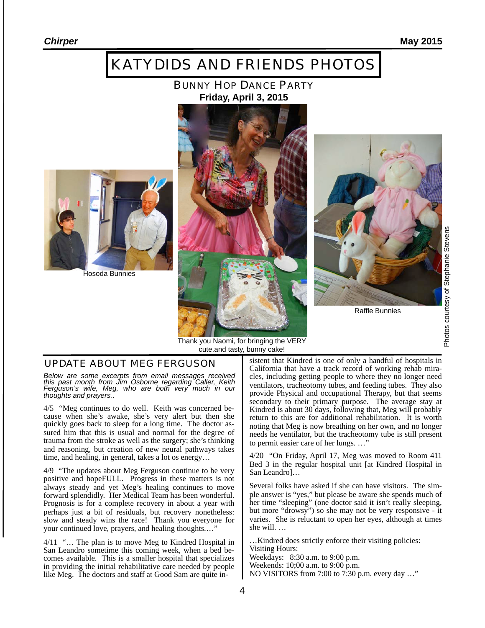## KATYDIDS AND FRIENDS PHOTOS

#### BUNNY HOP DANCE PARTY **Friday, April 3, 2015**



Hosoda Bunnies





Raffle Bunnies

#### Thank you Naomi, for bringing the VERY cute.and tasty, bunny cake!

*Below are some excerpts from email messages received this past month from Jim Osborne regarding Caller, Keith Ferguson's wife, Meg, who are both very much in our thoughts and prayers.*.

4/5 "Meg continues to do well. Keith was concerned because when she's awake, she's very alert but then she quickly goes back to sleep for a long time. The doctor assured him that this is usual and normal for the degree of trauma from the stroke as well as the surgery; she's thinking and reasoning, but creation of new neural pathways takes time, and healing, in general, takes a lot os energy…

4/9 "The updates about Meg Ferguson continue to be very positive and hopeFULL. Progress in these matters is not always steady and yet Meg's healing continues to move forward splendidly. Her Medical Team has been wonderful. Prognosis is for a complete recovery in about a year with perhaps just a bit of residuals, but recovery nonetheless: slow and steady wins the race! Thank you everyone for your continued love, prayers, and healing thoughts.…"

4/11 "… The plan is to move Meg to Kindred Hospital in San Leandro sometime this coming week, when a bed becomes available. This is a smaller hospital that specializes in providing the initial rehabilitative care needed by people like Meg. The doctors and staff at Good Sam are quite in-

**UPDATE ABOUT MEG FERGUSON** sistent that Kindred is one of only a handful of hospitals in California that have a track record of working rehab miracles, including getting people to where they no longer need ventilators, tracheotomy tubes, and feeding tubes. They also provide Physical and occupational Therapy, but that seems secondary to their primary purpose. The average stay at Kindred is about 30 days, following that, Meg will probably return to this are for additional rehabilitation. It is worth noting that Meg is now breathing on her own, and no longer needs he ventilator, but the tracheotomy tube is still present to permit easier care of her lungs. …"

> 4/20 "On Friday, April 17, Meg was moved to Room 411 Bed 3 in the regular hospital unit [at Kindred Hospital in San Leandro]…

> Several folks have asked if she can have visitors. The simple answer is "yes," but please be aware she spends much of her time "sleeping" (one doctor said it isn't really sleeping, but more "drowsy") so she may not be very responsive - it varies. She is reluctant to open her eyes, although at times she will. …

…Kindred does strictly enforce their visiting policies: Visiting Hours: Weekdays: 8:30 a.m. to 9:00 p.m.

Weekends: 10;00 a.m. to 9:00 p.m.

NO VISITORS from 7:00 to 7:30 p.m. every day …"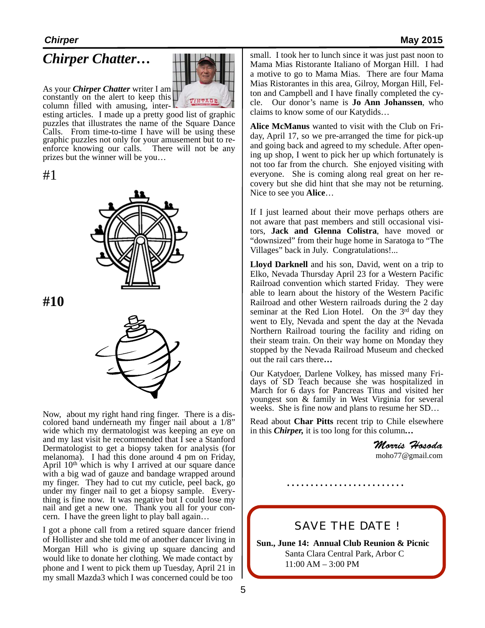## *Chirper Chatter…*



As your *Chirper Chatter* writer I am constantly on the alert to keep this

column filled with amusing, interesting articles. I made up a pretty good list of graphic puzzles that illustrates the name of the Square Dance Calls. From time-to-time I have will be using these graphic puzzles not only for your amusement but to reenforce knowing our calls. There will not be any prizes but the winner will be you…

#1



**#10**



Now, about my right hand ring finger. There is a dis- colored band underneath my finger nail about a 1/8" wide which my dermatologist was keeping an eye on and my last visit he recommended that I see a Stanford Dermatologist to get a biopsy taken for analysis (for melanoma). I had this done around 4 pm on Friday, April  $10<sup>th</sup>$  which is why I arrived at our square dance with a big wad of gauze and bandage wrapped around my finger. They had to cut my cuticle, peel back, go under my finger nail to get a biopsy sample. Every- thing is fine now. It was negative but I could lose my nail and get a new one. Thank you all for your concern. I have the green light to play ball again…

I got a phone call from a retired square dancer friend of Hollister and she told me of another dancer living in Morgan Hill who is giving up square dancing and would like to donate her clothing. We made contact by phone and I went to pick them up Tuesday, April 21 in my small Mazda3 which I was concerned could be too

small. I took her to lunch since it was just past noon to Mama Mias Ristorante Italiano of Morgan Hill. I had a motive to go to Mama Mias. There are four Mama Mias Ristorantes in this area, Gilroy, Morgan Hill, Felton and Campbell and I have finally completed the cycle. Our donor's name is **Jo Ann Johanssen**, who claims to know some of our Katydids…

**Alice McManus** wanted to visit with the Club on Friday, April 17, so we pre-arranged the time for pick-up and going back and agreed to my schedule. After opening up shop, I went to pick her up which fortunately is not too far from the church. She enjoyed visiting with everyone. She is coming along real great on her recovery but she did hint that she may not be returning. Nice to see you **Alice**…

If I just learned about their move perhaps others are not aware that past members and still occasional visitors, **Jack and Glenna Colistra**, have moved or "downsized" from their huge home in Saratoga to "The Villages" back in July. Congratulations!...

**Lloyd Darknell** and his son, David, went on a trip to Elko, Nevada Thursday April 23 for a Western Pacific Railroad convention which started Friday. They were able to learn about the history of the Western Pacific Railroad and other Western railroads during the 2 day seminar at the Red Lion Hotel. On the 3<sup>rd</sup> day they went to Ely, Nevada and spent the day at the Nevada Northern Railroad touring the facility and riding on their steam train. On their way home on Monday they stopped by the Nevada Railroad Museum and checked out the rail cars there**…** 

Our Katydoer, Darlene Volkey, has missed many Fri- days of SD Teach because she was hospitalized in March for 6 days for Pancreas Titus and visited her youngest son & family in West Virginia for several weeks. She is fine now and plans to resume her SD…

 Read about **Char Pitts** recent trip to Chile elsewhere in this *Chirper,* it is too long for this column*…*

> *Morris Hosoda* [moho77@gmail.com](mailto:moho77@gmail.com)

## SAVE THE DATE !

**Sun., June 14: Annual Club Reunion & Picnic** Santa Clara Central Park, Arbor C 11:00 AM – 3:00 PM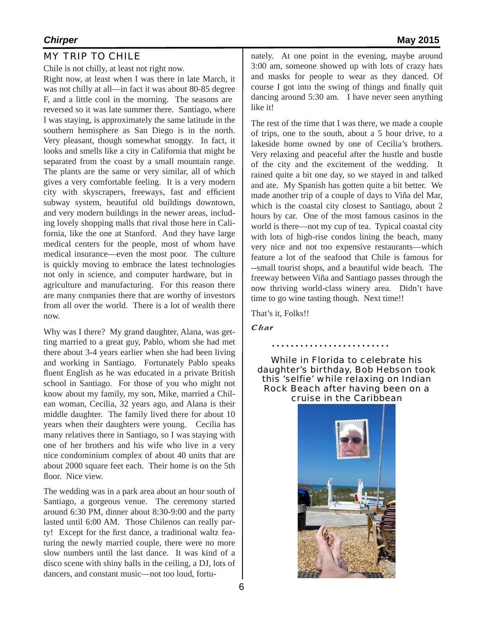Chile is not chilly, at least not right now.

Right now, at least when I was there in late March, it was not chilly at all—in fact it was about 80-85 degree F, and a little cool in the morning. The seasons are reversed so it was late summer there. Santiago, where I was staying, is approximately the same latitude in the southern hemisphere as San Diego is in the north. Very pleasant, though somewhat smoggy. In fact, it looks and smells like a city in California that might be separated from the coast by a small mountain range. The plants are the same or very similar, all of which gives a very comfortable feeling. It is a very modern city with skyscrapers, freeways, fast and efficient subway system, beautiful old buildings downtown, and very modern buildings in the newer areas, including lovely shopping malls that rival those here in California, like the one at Stanford. And they have large medical centers for the people, most of whom have medical insurance—even the most poor. The culture is quickly moving to embrace the latest technologies not only in science, and computer hardware, but in agriculture and manufacturing. For this reason there are many companies there that are worthy of investors from all over the world. There is a lot of wealth there now.

Why was I there? My grand daughter, Alana, was getting married to a great guy, Pablo, whom she had met there about 3-4 years earlier when she had been living and working in Santiago. Fortunately Pablo speaks fluent English as he was educated in a private British school in Santiago. For those of you who might not know about my family, my son, Mike, married a Chilean woman, Cecilia, 32 years ago, and Alana is their middle daughter. The family lived there for about 10 years when their daughters were young. Cecilia has many relatives there in Santiago, so I was staying with one of her brothers and his wife who live in a very nice condominium complex of about 40 units that are about 2000 square feet each. Their home is on the 5th floor. Nice view.

The wedding was in a park area about an hour south of Santiago, a gorgeous venue. The ceremony started around 6:30 PM, dinner about 8:30-9:00 and the party lasted until 6:00 AM. Those Chilenos can really party! Except for the first dance, a traditional waltz featuring the newly married couple, there were no more slow numbers until the last dance. It was kind of a disco scene with shiny balls in the ceiling, a DJ, lots of dancers, and constant music—not too loud, fortu-

nately. At one point in the evening, maybe around 3:00 am, someone showed up with lots of crazy hats and masks for people to wear as they danced. Of course I got into the swing of things and finally quit dancing around 5:30 am. I have never seen anything like it!

The rest of the time that I was there, we made a couple of trips, one to the south, about a 5 hour drive, to a lakeside home owned by one of Cecilia's brothers. Very relaxing and peaceful after the hustle and bustle of the city and the excitement of the wedding. It rained quite a bit one day, so we stayed in and talked and ate. My Spanish has gotten quite a bit better. We made another trip of a couple of days to Viña del Mar, which is the coastal city closest to Santiago, about 2 hours by car. One of the most famous casinos in the world is there—not my cup of tea. Typical coastal city with lots of high-rise condos lining the beach, many very nice and not too expensive restaurants—which feature a lot of the seafood that Chile is famous for --small tourist shops, and a beautiful wide beach. The freeway between Viña and Santiago passes through the now thriving world-class winery area. Didn't have time to go wine tasting though. Next time!!

That's it, Folks!!

Char

While in Florida to celebrate his daughter's birthday, Bob Hebson took this 'selfie' while relaxing on Indian Rock Beach after having been on a cruise in the Caribbean

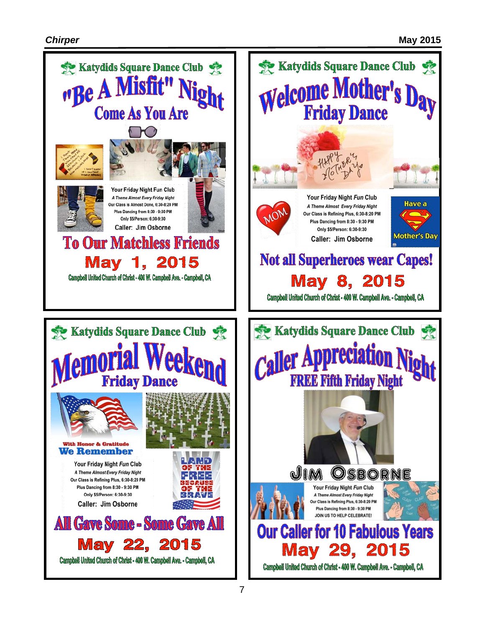